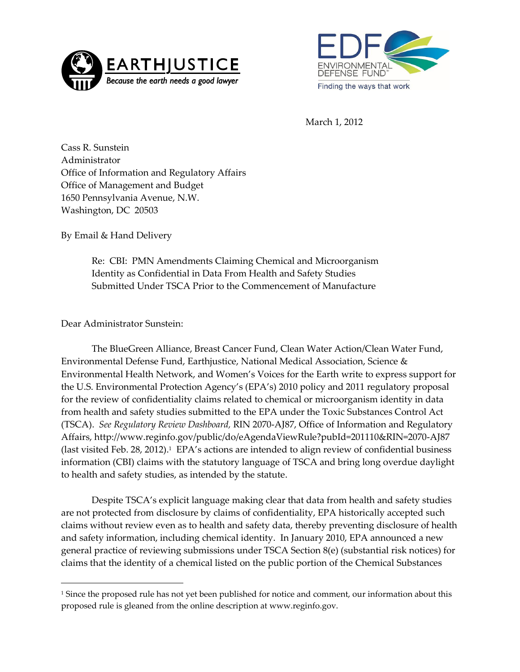



March 1, 2012

Cass R. Sunstein Administrator Office of Information and Regulatory Affairs Office of Management and Budget 1650 Pennsylvania Avenue, N.W. Washington, DC 20503

By Email & Hand Delivery

Re: CBI: PMN Amendments Claiming Chemical and Microorganism Identity as Confidential in Data From Health and Safety Studies Submitted Under TSCA Prior to the Commencement of Manufacture

Dear Administrator Sunstein:

1

The BlueGreen Alliance, Breast Cancer Fund, Clean Water Action/Clean Water Fund, Environmental Defense Fund, Earthjustice, National Medical Association, Science & Environmental Health Network, and Women's Voices for the Earth write to express support for the U.S. Environmental Protection Agency's (EPA's) 2010 policy and 2011 regulatory proposal for the review of confidentiality claims related to chemical or microorganism identity in data from health and safety studies submitted to the EPA under the Toxic Substances Control Act (TSCA). *See Regulatory Review Dashboard,* RIN 2070-AJ87, Office of Information and Regulatory Affairs, http://www.reginfo.gov/public/do/eAgendaViewRule?pubId=201110&RIN=2070-AJ87 (last visited Feb. 28, 2012). 1 EPA's actions are intended to align review of confidential business information (CBI) claims with the statutory language of TSCA and bring long overdue daylight to health and safety studies, as intended by the statute.

Despite TSCA's explicit language making clear that data from health and safety studies are not protected from disclosure by claims of confidentiality, EPA historically accepted such claims without review even as to health and safety data, thereby preventing disclosure of health and safety information, including chemical identity. In January 2010, EPA announced a new general practice of reviewing submissions under TSCA Section 8(e) (substantial risk notices) for claims that the identity of a chemical listed on the public portion of the Chemical Substances

<sup>1</sup> Since the proposed rule has not yet been published for notice and comment, our information about this proposed rule is gleaned from the online description at www.reginfo.gov.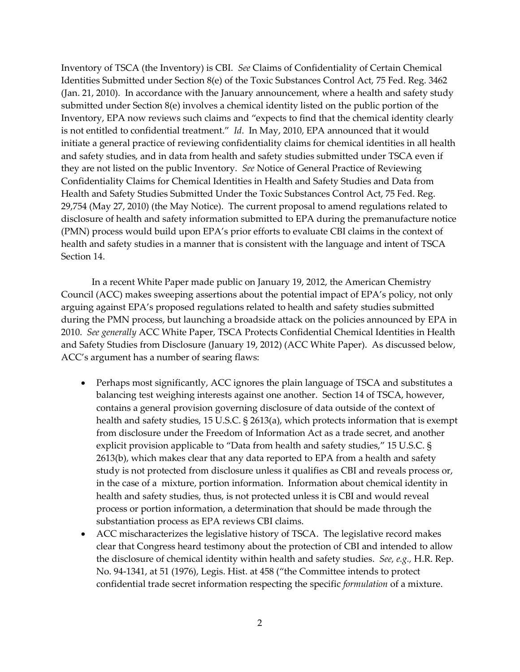Inventory of TSCA (the Inventory) is CBI. *See* Claims of Confidentiality of Certain Chemical Identities Submitted under Section 8(e) of the Toxic Substances Control Act, 75 Fed. Reg. 3462 (Jan. 21, 2010). In accordance with the January announcement, where a health and safety study submitted under Section 8(e) involves a chemical identity listed on the public portion of the Inventory, EPA now reviews such claims and 'expects to find that the chemical identity clearly is not entitled to confidential treatment.' *Id*. In May, 2010, EPA announced that it would initiate a general practice of reviewing confidentiality claims for chemical identities in all health and safety studies, and in data from health and safety studies submitted under TSCA even if they are not listed on the public Inventory. *See* Notice of General Practice of Reviewing Confidentiality Claims for Chemical Identities in Health and Safety Studies and Data from Health and Safety Studies Submitted Under the Toxic Substances Control Act, 75 Fed. Reg. 29,754 (May 27, 2010) (the May Notice). The current proposal to amend regulations related to disclosure of health and safety information submitted to EPA during the premanufacture notice (PMN) process would build upon EPA's prior efforts to evaluate CBI claims in the context of health and safety studies in a manner that is consistent with the language and intent of TSCA Section 14.

In a recent White Paper made public on January 19, 2012, the American Chemistry Council (ACC) makes sweeping assertions about the potential impact of EPA's policy, not only arguing against EPA's proposed regulations related to health and safety studies submitted during the PMN process, but launching a broadside attack on the policies announced by EPA in 2010. *See generally* ACC White Paper, TSCA Protects Confidential Chemical Identities in Health and Safety Studies from Disclosure (January 19, 2012) (ACC White Paper). As discussed below, ACC's argument has a number of searing flaws:

- Perhaps most significantly, ACC ignores the plain language of TSCA and substitutes a balancing test weighing interests against one another. Section 14 of TSCA, however, contains a general provision governing disclosure of data outside of the context of health and safety studies, 15 U.S.C. § 2613(a), which protects information that is exempt from disclosure under the Freedom of Information Act as a trade secret, and another explicit provision applicable to "Data from health and safety studies," 15 U.S.C. § 2613(b), which makes clear that any data reported to EPA from a health and safety study is not protected from disclosure unless it qualifies as CBI and reveals process or, in the case of a mixture, portion information. Information about chemical identity in health and safety studies, thus, is not protected unless it is CBI and would reveal process or portion information, a determination that should be made through the substantiation process as EPA reviews CBI claims.
- ACC mischaracterizes the legislative history of TSCA. The legislative record makes clear that Congress heard testimony about the protection of CBI and intended to allow the disclosure of chemical identity within health and safety studies. *See, e.g.,* H.R. Rep. No. 94-1341, at 51 (1976), Legis. Hist. at 458 ('the Committee intends to protect confidential trade secret information respecting the specific *formulation* of a mixture.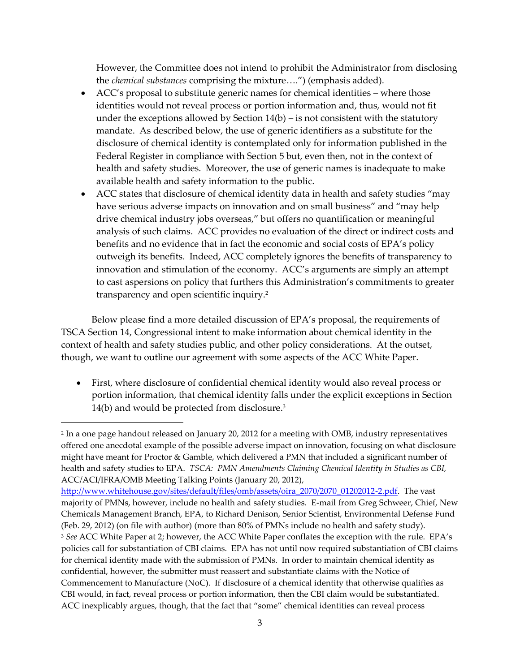However, the Committee does not intend to prohibit the Administrator from disclosing the *chemical substances* comprising the mixture....") (emphasis added).

- ACC's proposal to substitute generic names for chemical identities where those identities would not reveal process or portion information and, thus, would not fit under the exceptions allowed by Section  $14(b)$  – is not consistent with the statutory mandate. As described below, the use of generic identifiers as a substitute for the disclosure of chemical identity is contemplated only for information published in the Federal Register in compliance with Section 5 but, even then, not in the context of health and safety studies. Moreover, the use of generic names is inadequate to make available health and safety information to the public.
- ACC states that disclosure of chemical identity data in health and safety studies "may have serious adverse impacts on innovation and on small business" and "may help drive chemical industry jobs overseas," but offers no quantification or meaningful analysis of such claims. ACC provides no evaluation of the direct or indirect costs and benefits and no evidence that in fact the economic and social costs of EPA's policy outweigh its benefits. Indeed, ACC completely ignores the benefits of transparency to innovation and stimulation of the economy. ACC's arguments are simply an attempt to cast aspersions on policy that furthers this Administration's commitments to greater transparency and open scientific inquiry.<sup>2</sup>

Below please find a more detailed discussion of EPA's proposal, the requirements of TSCA Section 14, Congressional intent to make information about chemical identity in the context of health and safety studies public, and other policy considerations. At the outset, though, we want to outline our agreement with some aspects of the ACC White Paper.

 First, where disclosure of confidential chemical identity would also reveal process or portion information, that chemical identity falls under the explicit exceptions in Section 14(b) and would be protected from disclosure. 3

 $\overline{a}$ 

<sup>2</sup> In a one page handout released on January 20, 2012 for a meeting with OMB, industry representatives offered one anecdotal example of the possible adverse impact on innovation, focusing on what disclosure might have meant for Proctor & Gamble, which delivered a PMN that included a significant number of health and safety studies to EPA. *TSCA: PMN Amendments Claiming Chemical Identity in Studies as CBI,* ACC/ACI/IFRA/OMB Meeting Talking Points (January 20, 2012),

[http://www.whitehouse.gov/sites/default/files/omb/assets/oira\\_2070/2070\\_01202012-2.pdf.](http://www.whitehouse.gov/sites/default/files/omb/assets/oira_2070/2070_01202012-2.pdf) The vast majority of PMNs, however, include no health and safety studies. E-mail from Greg Schweer, Chief, New Chemicals Management Branch, EPA, to Richard Denison, Senior Scientist, Environmental Defense Fund (Feb. 29, 2012) (on file with author) (more than 80% of PMNs include no health and safety study). <sup>3</sup> *See* ACC White Paper at 2; however, the ACC White Paper conflates the exception with the rule. EPA's policies call for substantiation of CBI claims. EPA has not until now required substantiation of CBI claims for chemical identity made with the submission of PMNs. In order to maintain chemical identity as confidential, however, the submitter must reassert and substantiate claims with the Notice of Commencement to Manufacture (NoC). If disclosure of a chemical identity that otherwise qualifies as CBI would, in fact, reveal process or portion information, then the CBI claim would be substantiated. ACC inexplicably argues, though, that the fact that 'some' chemical identities can reveal process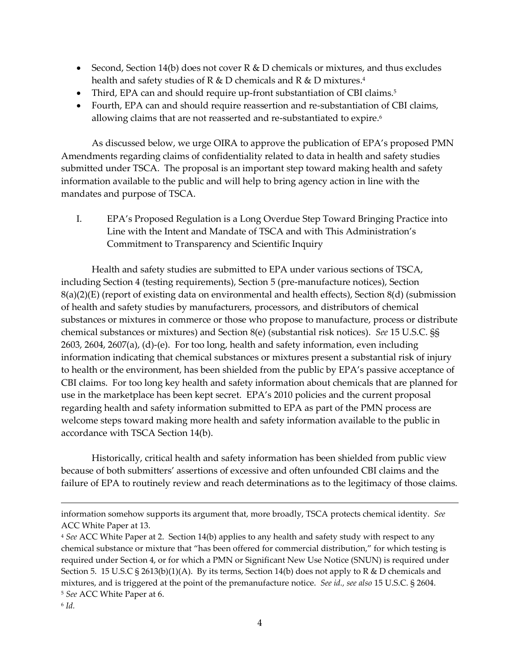- Second, Section 14(b) does not cover  $R \& D$  chemicals or mixtures, and thus excludes health and safety studies of R & D chemicals and R & D mixtures. 4
- Third, EPA can and should require up-front substantiation of CBI claims.<sup>5</sup>
- Fourth, EPA can and should require reassertion and re-substantiation of CBI claims, allowing claims that are not reasserted and re-substantiated to expire.<sup>6</sup>

As discussed below, we urge OIRA to approve the publication of EPA's proposed PMN Amendments regarding claims of confidentiality related to data in health and safety studies submitted under TSCA. The proposal is an important step toward making health and safety information available to the public and will help to bring agency action in line with the mandates and purpose of TSCA.

I. EPA's Proposed Regulation is a Long Overdue Step Toward Bringing Practice into Line with the Intent and Mandate of TSCA and with This Administration's Commitment to Transparency and Scientific Inquiry

Health and safety studies are submitted to EPA under various sections of TSCA, including Section 4 (testing requirements), Section 5 (pre-manufacture notices), Section  $8(a)(2)(E)$  (report of existing data on environmental and health effects), Section  $8(d)$  (submission of health and safety studies by manufacturers, processors, and distributors of chemical substances or mixtures in commerce or those who propose to manufacture, process or distribute chemical substances or mixtures) and Section 8(e) (substantial risk notices). *See* 15 U.S.C. §§ 2603, 2604, 2607(a), (d)-(e). For too long, health and safety information, even including information indicating that chemical substances or mixtures present a substantial risk of injury to health or the environment, has been shielded from the public by EPA's passive acceptance of CBI claims. For too long key health and safety information about chemicals that are planned for use in the marketplace has been kept secret. EPA's 2010 policies and the current proposal regarding health and safety information submitted to EPA as part of the PMN process are welcome steps toward making more health and safety information available to the public in accordance with TSCA Section 14(b).

Historically, critical health and safety information has been shielded from public view because of both submitters' assertions of excessive and often unfounded CBI claims and the failure of EPA to routinely review and reach determinations as to the legitimacy of those claims.

information somehow supports its argument that, more broadly, TSCA protects chemical identity. *See* ACC White Paper at 13.

<sup>4</sup> *See* ACC White Paper at 2. Section 14(b) applies to any health and safety study with respect to any chemical substance or mixture that 'has been offered for commercial distribution,' for which testing is required under Section 4, or for which a PMN or Significant New Use Notice (SNUN) is required under Section 5. 15 U.S.C § 2613(b)(1)(A). By its terms, Section 14(b) does not apply to R & D chemicals and mixtures, and is triggered at the point of the premanufacture notice. *See id., see also* 15 U.S.C. § 2604. <sup>5</sup> *See* ACC White Paper at 6.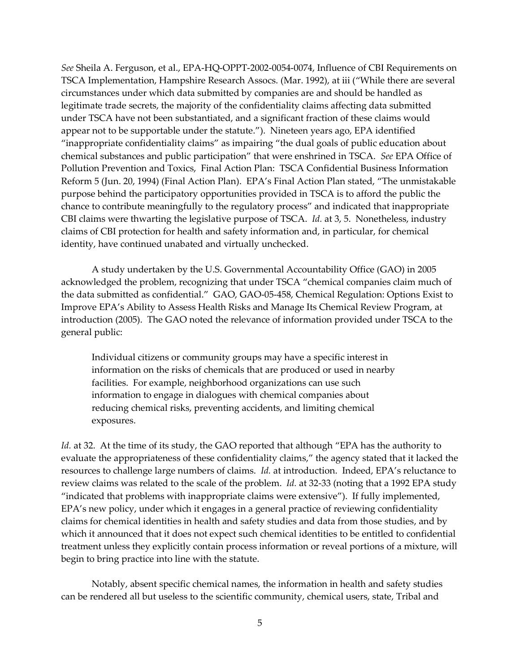*See* Sheila A. Ferguson, et al., EPA-HQ-OPPT-2002-0054-0074, Influence of CBI Requirements on TSCA Implementation, Hampshire Research Assocs. (Mar. 1992), at iii ('While there are several circumstances under which data submitted by companies are and should be handled as legitimate trade secrets, the majority of the confidentiality claims affecting data submitted under TSCA have not been substantiated, and a significant fraction of these claims would appear not to be supportable under the statute.'). Nineteen years ago, EPA identified 'inappropriate confidentiality claims' as impairing 'the dual goals of public education about chemical substances and public participation' that were enshrined in TSCA. *See* EPA Office of Pollution Prevention and Toxics, Final Action Plan: TSCA Confidential Business Information Reform 5 (Jun. 20, 1994) (Final Action Plan). EPA's Final Action Plan stated, 'The unmistakable purpose behind the participatory opportunities provided in TSCA is to afford the public the chance to contribute meaningfully to the regulatory process' and indicated that inappropriate CBI claims were thwarting the legislative purpose of TSCA. *Id.* at 3, 5. Nonetheless, industry claims of CBI protection for health and safety information and, in particular, for chemical identity, have continued unabated and virtually unchecked.

A study undertaken by the U.S. Governmental Accountability Office (GAO) in 2005 acknowledged the problem, recognizing that under TSCA 'chemical companies claim much of the data submitted as confidential.' GAO, GAO-05-458, Chemical Regulation: Options Exist to Improve EPA's Ability to Assess Health Risks and Manage Its Chemical Review Program, at introduction (2005). The GAO noted the relevance of information provided under TSCA to the general public:

Individual citizens or community groups may have a specific interest in information on the risks of chemicals that are produced or used in nearby facilities. For example, neighborhood organizations can use such information to engage in dialogues with chemical companies about reducing chemical risks, preventing accidents, and limiting chemical exposures.

*Id.* at 32. At the time of its study, the GAO reported that although "EPA has the authority to evaluate the appropriateness of these confidentiality claims," the agency stated that it lacked the resources to challenge large numbers of claims. *Id.* at introduction. Indeed, EPA's reluctance to review claims was related to the scale of the problem. *Id.* at 32-33 (noting that a 1992 EPA study 'indicated that problems with inappropriate claims were extensive'). If fully implemented, EPA's new policy, under which it engages in a general practice of reviewing confidentiality claims for chemical identities in health and safety studies and data from those studies, and by which it announced that it does not expect such chemical identities to be entitled to confidential treatment unless they explicitly contain process information or reveal portions of a mixture, will begin to bring practice into line with the statute.

Notably, absent specific chemical names, the information in health and safety studies can be rendered all but useless to the scientific community, chemical users, state, Tribal and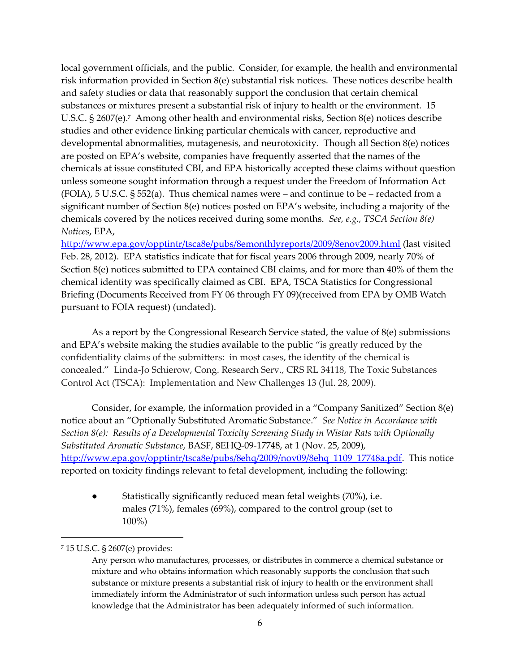local government officials, and the public. Consider, for example, the health and environmental risk information provided in Section 8(e) substantial risk notices. These notices describe health and safety studies or data that reasonably support the conclusion that certain chemical substances or mixtures present a substantial risk of injury to health or the environment. 15 U.S.C. § 2607(e).<sup>7</sup> Among other health and environmental risks, Section 8(e) notices describe studies and other evidence linking particular chemicals with cancer, reproductive and developmental abnormalities, mutagenesis, and neurotoxicity. Though all Section 8(e) notices are posted on EPA's website, companies have frequently asserted that the names of the chemicals at issue constituted CBI, and EPA historically accepted these claims without question unless someone sought information through a request under the Freedom of Information Act  $(FOIA)$ , 5 U.S.C. § 552(a). Thus chemical names were – and continue to be – redacted from a significant number of Section 8(e) notices posted on EPA's website, including a majority of the chemicals covered by the notices received during some months. *See, e.g., TSCA Section 8(e) Notices*, EPA,

<http://www.epa.gov/opptintr/tsca8e/pubs/8emonthlyreports/2009/8enov2009.html> (last visited Feb. 28, 2012). EPA statistics indicate that for fiscal years 2006 through 2009, nearly 70% of Section 8(e) notices submitted to EPA contained CBI claims, and for more than 40% of them the chemical identity was specifically claimed as CBI. EPA, TSCA Statistics for Congressional Briefing (Documents Received from FY 06 through FY 09)(received from EPA by OMB Watch pursuant to FOIA request) (undated).

As a report by the Congressional Research Service stated, the value of 8(e) submissions and EPA's website making the studies available to the public "is greatly reduced by the confidentiality claims of the submitters: in most cases, the identity of the chemical is concealed.' Linda-Jo Schierow, Cong. Research Serv., CRS RL 34118, The Toxic Substances Control Act (TSCA): Implementation and New Challenges 13 (Jul. 28, 2009).

Consider, for example, the information provided in a 'Company Sanitized' Section 8(e) notice about an 'Optionally Substituted Aromatic Substance.' *See Notice in Accordance with Section 8(e): Results of a Developmental Toxicity Screening Study in Wistar Rats with Optionally Substituted Aromatic Substance*, BASF, 8EHQ-09-17748, at 1 (Nov. 25, 2009), [http://www.epa.gov/opptintr/tsca8e/pubs/8ehq/2009/nov09/8ehq\\_1109\\_17748a.pdf.](http://www.epa.gov/opptintr/tsca8e/pubs/8ehq/2009/nov09/8ehq_1109_17748a.pdf) This notice reported on toxicity findings relevant to fetal development, including the following:

Statistically significantly reduced mean fetal weights (70%), i.e. males (71%), females (69%), compared to the control group (set to 100%)

<sup>7</sup> 15 U.S.C. § 2607(e) provides:

Any person who manufactures, processes, or distributes in commerce a chemical substance or mixture and who obtains information which reasonably supports the conclusion that such substance or mixture presents a substantial risk of injury to health or the environment shall immediately inform the Administrator of such information unless such person has actual knowledge that the Administrator has been adequately informed of such information.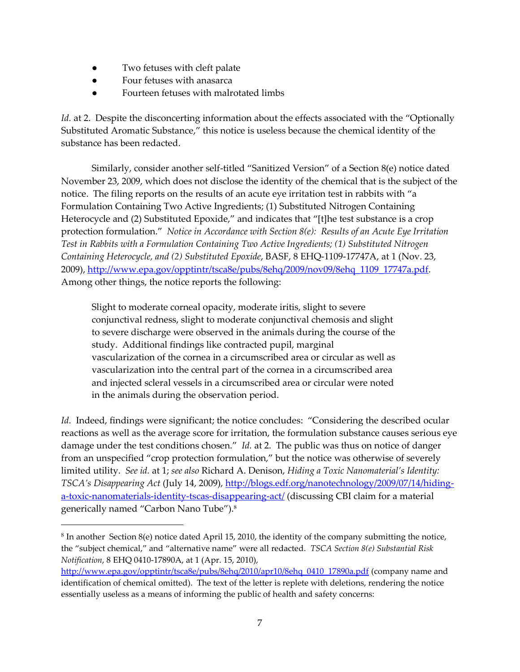- Two fetuses with cleft palate
- Four fetuses with anasarca

 $\overline{a}$ 

● Fourteen fetuses with malrotated limbs

*Id.* at 2. Despite the disconcerting information about the effects associated with the "Optionally Substituted Aromatic Substance," this notice is useless because the chemical identity of the substance has been redacted.

Similarly, consider another self-titled 'Sanitized Version' of a Section 8(e) notice dated November 23, 2009, which does not disclose the identity of the chemical that is the subject of the notice. The filing reports on the results of an acute eye irritation test in rabbits with 'a Formulation Containing Two Active Ingredients; (1) Substituted Nitrogen Containing Heterocycle and (2) Substituted Epoxide," and indicates that "[t]he test substance is a crop protection formulation.' *Notice in Accordance with Section 8(e): Results of an Acute Eye Irritation Test in Rabbits with a Formulation Containing Two Active Ingredients; (1) Substituted Nitrogen Containing Heterocycle, and (2) Substituted Epoxide*, BASF, 8 EHQ-1109-17747A, at 1 (Nov. 23, 2009), [http://www.epa.gov/opptintr/tsca8e/pubs/8ehq/2009/nov09/8ehq\\_1109\\_17747a.pdf.](http://www.epa.gov/opptintr/tsca8e/pubs/8ehq/2009/nov09/8ehq_1109_17747a.pdf) Among other things, the notice reports the following:

Slight to moderate corneal opacity, moderate iritis, slight to severe conjunctival redness, slight to moderate conjunctival chemosis and slight to severe discharge were observed in the animals during the course of the study. Additional findings like contracted pupil, marginal vascularization of the cornea in a circumscribed area or circular as well as vascularization into the central part of the cornea in a circumscribed area and injected scleral vessels in a circumscribed area or circular were noted in the animals during the observation period.

*Id.* Indeed, findings were significant; the notice concludes: 'Considering the described ocular reactions as well as the average score for irritation, the formulation substance causes serious eye damage under the test conditions chosen.' *Id.* at 2. The public was thus on notice of danger from an unspecified 'crop protection formulation,' but the notice was otherwise of severely limited utility. *See id.* at 1; *see also* Richard A. Denison, *Hiding a Toxic Nanomaterial's Identity: TSCA's Disappearing Act* (July 14, 2009), [http://blogs.edf.org/nanotechnology/2009/07/14/hiding](http://blogs.edf.org/nanotechnology/2009/07/14/hiding-a-toxic-nanomaterials-identity-tscas-disappearing-act/)[a-toxic-nanomaterials-identity-tscas-disappearing-act/](http://blogs.edf.org/nanotechnology/2009/07/14/hiding-a-toxic-nanomaterials-identity-tscas-disappearing-act/) (discussing CBI claim for a material generically named 'Carbon Nano Tube').<sup>8</sup>

 $8$  In another Section 8(e) notice dated April 15, 2010, the identity of the company submitting the notice, the 'subject chemical,' and 'alternative name' were all redacted. *TSCA Section 8(e) Substantial Risk Notification*, 8 EHQ 0410-17890A, at 1 (Apr. 15, 2010),

[http://www.epa.gov/opptintr/tsca8e/pubs/8ehq/2010/apr10/8ehq\\_0410\\_17890a.pdf](http://www.epa.gov/opptintr/tsca8e/pubs/8ehq/2010/apr10/8ehq_0410_17890a.pdf) (company name and identification of chemical omitted). The text of the letter is replete with deletions, rendering the notice essentially useless as a means of informing the public of health and safety concerns: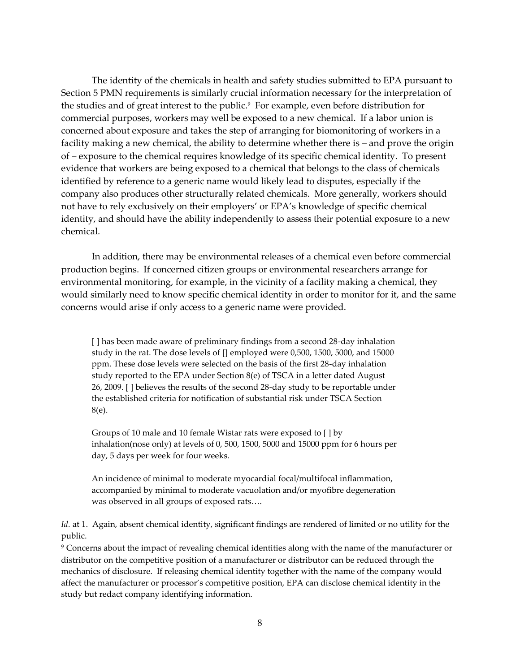The identity of the chemicals in health and safety studies submitted to EPA pursuant to Section 5 PMN requirements is similarly crucial information necessary for the interpretation of the studies and of great interest to the public.<sup>9</sup> For example, even before distribution for commercial purposes, workers may well be exposed to a new chemical. If a labor union is concerned about exposure and takes the step of arranging for biomonitoring of workers in a facility making a new chemical, the ability to determine whether there is – and prove the origin of – exposure to the chemical requires knowledge of its specific chemical identity. To present evidence that workers are being exposed to a chemical that belongs to the class of chemicals identified by reference to a generic name would likely lead to disputes, especially if the company also produces other structurally related chemicals. More generally, workers should not have to rely exclusively on their employers' or EPA's knowledge of specific chemical identity, and should have the ability independently to assess their potential exposure to a new chemical.

In addition, there may be environmental releases of a chemical even before commercial production begins. If concerned citizen groups or environmental researchers arrange for environmental monitoring, for example, in the vicinity of a facility making a chemical, they would similarly need to know specific chemical identity in order to monitor for it, and the same concerns would arise if only access to a generic name were provided.

[] has been made aware of preliminary findings from a second 28-day inhalation study in the rat. The dose levels of [] employed were 0,500, 1500, 5000, and 15000 ppm. These dose levels were selected on the basis of the first 28-day inhalation study reported to the EPA under Section 8(e) of TSCA in a letter dated August 26, 2009. [ ] believes the results of the second 28-day study to be reportable under the established criteria for notification of substantial risk under TSCA Section 8(e).

1

Groups of 10 male and 10 female Wistar rats were exposed to [ ] by inhalation(nose only) at levels of 0, 500, 1500, 5000 and 15000 ppm for 6 hours per day, 5 days per week for four weeks.

An incidence of minimal to moderate myocardial focal/multifocal inflammation, accompanied by minimal to moderate vacuolation and/or myofibre degeneration was observed in all groups of exposed rats....

*Id.* at 1. Again, absent chemical identity, significant findings are rendered of limited or no utility for the public.

<sup>9</sup> Concerns about the impact of revealing chemical identities along with the name of the manufacturer or distributor on the competitive position of a manufacturer or distributor can be reduced through the mechanics of disclosure. If releasing chemical identity together with the name of the company would affect the manufacturer or processor's competitive position, EPA can disclose chemical identity in the study but redact company identifying information.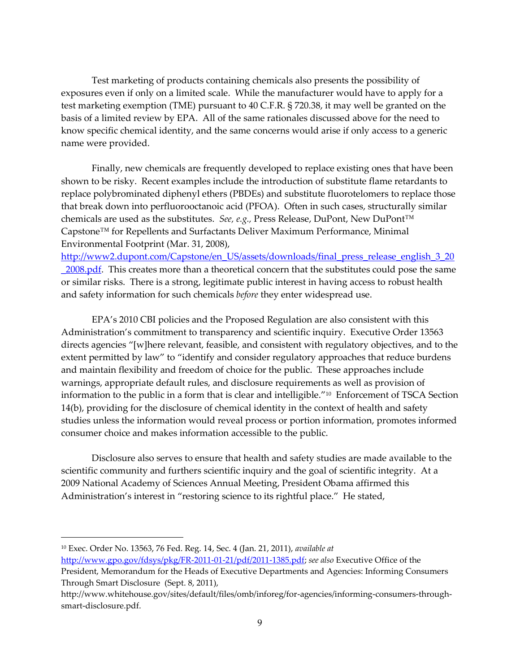Test marketing of products containing chemicals also presents the possibility of exposures even if only on a limited scale. While the manufacturer would have to apply for a test marketing exemption (TME) pursuant to 40 C.F.R. § 720.38, it may well be granted on the basis of a limited review by EPA. All of the same rationales discussed above for the need to know specific chemical identity, and the same concerns would arise if only access to a generic name were provided.

Finally, new chemicals are frequently developed to replace existing ones that have been shown to be risky. Recent examples include the introduction of substitute flame retardants to replace polybrominated diphenyl ethers (PBDEs) and substitute fluorotelomers to replace those that break down into perfluorooctanoic acid (PFOA). Often in such cases, structurally similar chemicals are used as the substitutes. *See, e.g.,* Press Release, DuPont, New DuPont™ Capstone™ for Repellents and Surfactants Deliver Maximum Performance, Minimal Environmental Footprint (Mar. 31, 2008),

[http://www2.dupont.com/Capstone/en\\_US/assets/downloads/final\\_press\\_release\\_english\\_3\\_20](http://www2.dupont.com/Capstone/en_US/assets/downloads/final_press_release_english_3_20_2008.pdf) 2008.pdf. This creates more than a theoretical concern that the substitutes could pose the same or similar risks. There is a strong, legitimate public interest in having access to robust health and safety information for such chemicals *before* they enter widespread use.

EPA's 2010 CBI policies and the Proposed Regulation are also consistent with this Administration's commitment to transparency and scientific inquiry. Executive Order 13563 directs agencies "[w]here relevant, feasible, and consistent with regulatory objectives, and to the extent permitted by law" to "identify and consider regulatory approaches that reduce burdens and maintain flexibility and freedom of choice for the public. These approaches include warnings, appropriate default rules, and disclosure requirements as well as provision of information to the public in a form that is clear and intelligible."<sup>10</sup> Enforcement of TSCA Section 14(b), providing for the disclosure of chemical identity in the context of health and safety studies unless the information would reveal process or portion information, promotes informed consumer choice and makes information accessible to the public.

Disclosure also serves to ensure that health and safety studies are made available to the scientific community and furthers scientific inquiry and the goal of scientific integrity. At a 2009 National Academy of Sciences Annual Meeting, President Obama affirmed this Administration's interest in "restoring science to its rightful place." He stated,

<sup>10</sup> Exec. Order No. 13563, 76 Fed. Reg. 14, Sec. 4 (Jan. 21, 2011), *available at*

[http://www.gpo.gov/fdsys/pkg/FR-2011-01-21/pdf/2011-1385.pdf;](http://www.gpo.gov/fdsys/pkg/FR-2011-01-21/pdf/2011-1385.pdf) *see also* Executive Office of the President, Memorandum for the Heads of Executive Departments and Agencies: Informing Consumers Through Smart Disclosure (Sept. 8, 2011),

http://www.whitehouse.gov/sites/default/files/omb/inforeg/for-agencies/informing-consumers-throughsmart-disclosure.pdf.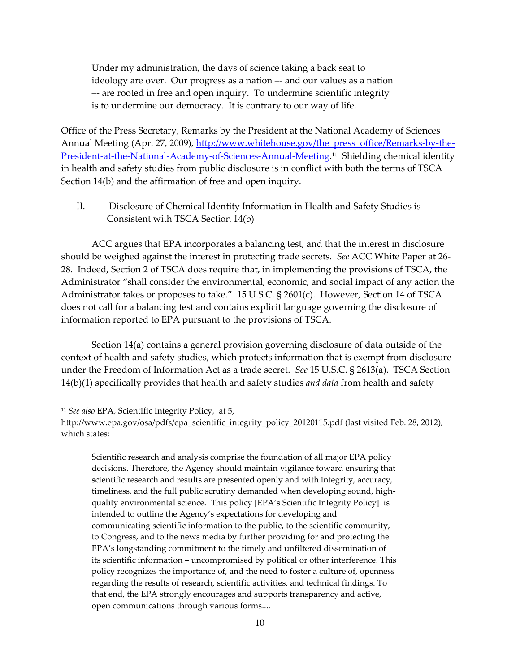Under my administration, the days of science taking a back seat to ideology are over. Our progress as a nation –- and our values as a nation –- are rooted in free and open inquiry. To undermine scientific integrity is to undermine our democracy. It is contrary to our way of life.

Office of the Press Secretary, Remarks by the President at the National Academy of Sciences Annual Meeting (Apr. 27, 2009), [http://www.whitehouse.gov/the\\_press\\_office/Remarks-by-the-](http://www.whitehouse.gov/the_press_office/Remarks-by-the-President-at-the-National-Academy-of-Sciences-Annual-Meeting)[President-at-the-National-Academy-of-Sciences-Annual-Meeting.](http://www.whitehouse.gov/the_press_office/Remarks-by-the-President-at-the-National-Academy-of-Sciences-Annual-Meeting) 11 Shielding chemical identity in health and safety studies from public disclosure is in conflict with both the terms of TSCA Section 14(b) and the affirmation of free and open inquiry.

II. Disclosure of Chemical Identity Information in Health and Safety Studies is Consistent with TSCA Section 14(b)

ACC argues that EPA incorporates a balancing test, and that the interest in disclosure should be weighed against the interest in protecting trade secrets. *See* ACC White Paper at 26- 28. Indeed, Section 2 of TSCA does require that, in implementing the provisions of TSCA, the Administrator 'shall consider the environmental, economic, and social impact of any action the Administrator takes or proposes to take.' 15 U.S.C. § 2601(c). However, Section 14 of TSCA does not call for a balancing test and contains explicit language governing the disclosure of information reported to EPA pursuant to the provisions of TSCA.

Section 14(a) contains a general provision governing disclosure of data outside of the context of health and safety studies, which protects information that is exempt from disclosure under the Freedom of Information Act as a trade secret. *See* 15 U.S.C. § 2613(a). TSCA Section 14(b)(1) specifically provides that health and safety studies *and data* from health and safety

 $\overline{a}$ 

Scientific research and analysis comprise the foundation of all major EPA policy decisions. Therefore, the Agency should maintain vigilance toward ensuring that scientific research and results are presented openly and with integrity, accuracy, timeliness, and the full public scrutiny demanded when developing sound, highquality environmental science. This policy [EPA's Scientific Integrity Policy] is intended to outline the Agency's expectations for developing and communicating scientific information to the public, to the scientific community, to Congress, and to the news media by further providing for and protecting the EPA's longstanding commitment to the timely and unfiltered dissemination of its scientific information – uncompromised by political or other interference. This policy recognizes the importance of, and the need to foster a culture of, openness regarding the results of research, scientific activities, and technical findings. To that end, the EPA strongly encourages and supports transparency and active, open communications through various forms....

<sup>11</sup> *See also* EPA, Scientific Integrity Policy, at 5,

http://www.epa.gov/osa/pdfs/epa\_scientific\_integrity\_policy\_20120115.pdf (last visited Feb. 28, 2012), which states: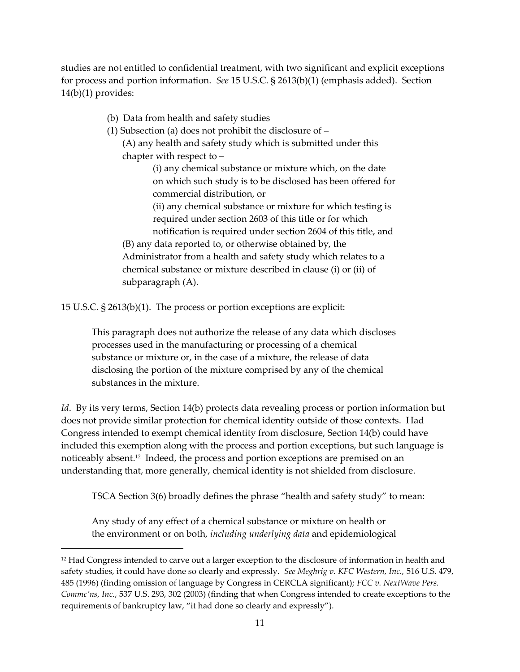studies are not entitled to confidential treatment, with two significant and explicit exceptions for process and portion information. *See* 15 U.S.C. § 2613(b)(1) (emphasis added). Section 14(b)(1) provides:

(b) Data from health and safety studies

(1) Subsection (a) does not prohibit the disclosure of –

(A) any health and safety study which is submitted under this chapter with respect to –

> (i) any chemical substance or mixture which, on the date on which such study is to be disclosed has been offered for commercial distribution, or

> (ii) any chemical substance or mixture for which testing is required under section 2603 of this title or for which notification is required under section 2604 of this title, and

(B) any data reported to, or otherwise obtained by, the Administrator from a health and safety study which relates to a chemical substance or mixture described in clause (i) or (ii) of subparagraph (A).

15 U.S.C. § 2613(b)(1). The process or portion exceptions are explicit:

This paragraph does not authorize the release of any data which discloses processes used in the manufacturing or processing of a chemical substance or mixture or, in the case of a mixture, the release of data disclosing the portion of the mixture comprised by any of the chemical substances in the mixture.

*Id*. By its very terms, Section 14(b) protects data revealing process or portion information but does not provide similar protection for chemical identity outside of those contexts. Had Congress intended to exempt chemical identity from disclosure, Section 14(b) could have included this exemption along with the process and portion exceptions, but such language is noticeably absent.<sup>12</sup> Indeed, the process and portion exceptions are premised on an understanding that, more generally, chemical identity is not shielded from disclosure.

TSCA Section 3(6) broadly defines the phrase 'health and safety study' to mean:

Any study of any effect of a chemical substance or mixture on health or the environment or on both, *including underlying data* and epidemiological

 $12$  Had Congress intended to carve out a larger exception to the disclosure of information in health and safety studies, it could have done so clearly and expressly. *See Meghrig v. KFC Western, Inc.,* 516 U.S. 479, 485 (1996) (finding omission of language by Congress in CERCLA significant); *FCC v. NextWave Pers. Commc'ns, Inc.*, 537 U.S. 293, 302 (2003) (finding that when Congress intended to create exceptions to the requirements of bankruptcy law, 'it had done so clearly and expressly').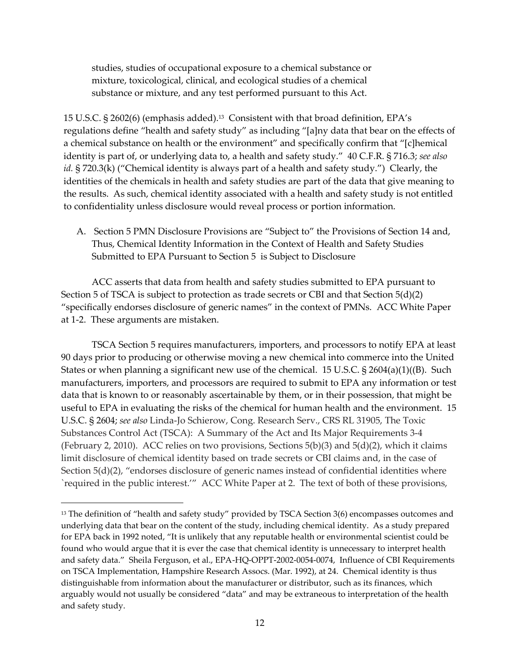studies, studies of occupational exposure to a chemical substance or mixture, toxicological, clinical, and ecological studies of a chemical substance or mixture, and any test performed pursuant to this Act.

15 U.S.C. § 2602(6) (emphasis added).<sup>13</sup> Consistent with that broad definition, EPA's regulations define "health and safety study" as including "[a]ny data that bear on the effects of a chemical substance on health or the environment" and specifically confirm that "[c]hemical identity is part of, or underlying data to, a health and safety study.' 40 C.F.R. § 716.3; *see also id.* § 720.3(k) ("Chemical identity is always part of a health and safety study.") Clearly, the identities of the chemicals in health and safety studies are part of the data that give meaning to the results. As such, chemical identity associated with a health and safety study is not entitled to confidentiality unless disclosure would reveal process or portion information.

A. Section 5 PMN Disclosure Provisions are 'Subject to' the Provisions of Section 14 and, Thus, Chemical Identity Information in the Context of Health and Safety Studies Submitted to EPA Pursuant to Section 5 is Subject to Disclosure

ACC asserts that data from health and safety studies submitted to EPA pursuant to Section 5 of TSCA is subject to protection as trade secrets or CBI and that Section  $5(d)(2)$ 'specifically endorses disclosure of generic names' in the context of PMNs. ACC White Paper at 1-2. These arguments are mistaken.

TSCA Section 5 requires manufacturers, importers, and processors to notify EPA at least 90 days prior to producing or otherwise moving a new chemical into commerce into the United States or when planning a significant new use of the chemical. 15 U.S.C. §  $2604(a)(1)(B)$ . Such manufacturers, importers, and processors are required to submit to EPA any information or test data that is known to or reasonably ascertainable by them, or in their possession, that might be useful to EPA in evaluating the risks of the chemical for human health and the environment. 15 U.S.C. § 2604; *see also* Linda-Jo Schierow, Cong. Research Serv., CRS RL 31905, The Toxic Substances Control Act (TSCA): A Summary of the Act and Its Major Requirements 3-4 (February 2, 2010). ACC relies on two provisions, Sections  $5(b)(3)$  and  $5(d)(2)$ , which it claims limit disclosure of chemical identity based on trade secrets or CBI claims and, in the case of Section 5(d)(2), "endorses disclosure of generic names instead of confidential identities where `required in the public interest.'' ACC White Paper at 2. The text of both of these provisions,

 $13$  The definition of "health and safety study" provided by TSCA Section 3(6) encompasses outcomes and underlying data that bear on the content of the study, including chemical identity. As a study prepared for EPA back in 1992 noted, 'It is unlikely that any reputable health or environmental scientist could be found who would argue that it is ever the case that chemical identity is unnecessary to interpret health and safety data.' Sheila Ferguson, et al., EPA-HQ-OPPT-2002-0054-0074, Influence of CBI Requirements on TSCA Implementation, Hampshire Research Assocs. (Mar. 1992), at 24. Chemical identity is thus distinguishable from information about the manufacturer or distributor, such as its finances, which arguably would not usually be considered 'data' and may be extraneous to interpretation of the health and safety study.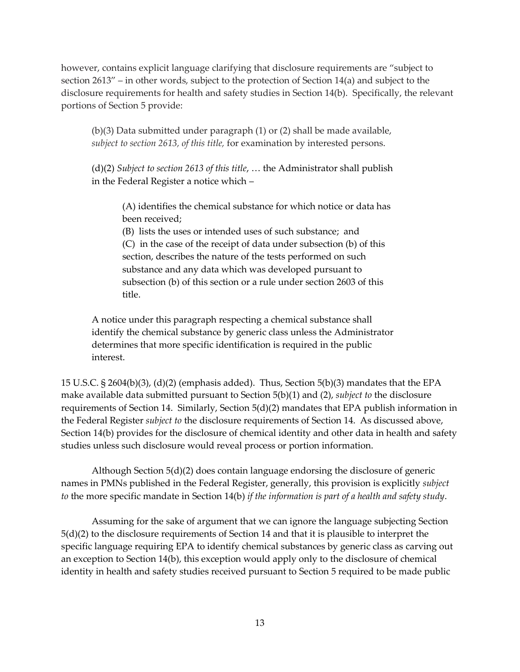however, contains explicit language clarifying that disclosure requirements are 'subject to section 2613' – in other words, subject to the protection of Section 14(a) and subject to the disclosure requirements for health and safety studies in Section 14(b). Specifically, the relevant portions of Section 5 provide:

(b)(3) Data submitted under paragraph (1) or (2) shall be made available, *subject to section 2613, of this title,* for examination by interested persons.

(d)(2) *Subject to section 2613 of this title*, ... the Administrator shall publish in the Federal Register a notice which –

(A) identifies the chemical substance for which notice or data has been received;

(B) lists the uses or intended uses of such substance; and (C) in the case of the receipt of data under subsection (b) of this section, describes the nature of the tests performed on such substance and any data which was developed pursuant to subsection (b) of this section or a rule under section 2603 of this title.

A notice under this paragraph respecting a chemical substance shall identify the chemical substance by generic class unless the Administrator determines that more specific identification is required in the public interest.

15 U.S.C. § 2604(b)(3), (d)(2) (emphasis added). Thus, Section 5(b)(3) mandates that the EPA make available data submitted pursuant to Section 5(b)(1) and (2), *subject to* the disclosure requirements of Section 14. Similarly, Section  $5(d)(2)$  mandates that EPA publish information in the Federal Register *subject to* the disclosure requirements of Section 14. As discussed above, Section 14(b) provides for the disclosure of chemical identity and other data in health and safety studies unless such disclosure would reveal process or portion information.

Although Section 5(d)(2) does contain language endorsing the disclosure of generic names in PMNs published in the Federal Register, generally, this provision is explicitly *subject to* the more specific mandate in Section 14(b) *if the information is part of a health and safety study*.

Assuming for the sake of argument that we can ignore the language subjecting Section 5(d)(2) to the disclosure requirements of Section 14 and that it is plausible to interpret the specific language requiring EPA to identify chemical substances by generic class as carving out an exception to Section 14(b), this exception would apply only to the disclosure of chemical identity in health and safety studies received pursuant to Section 5 required to be made public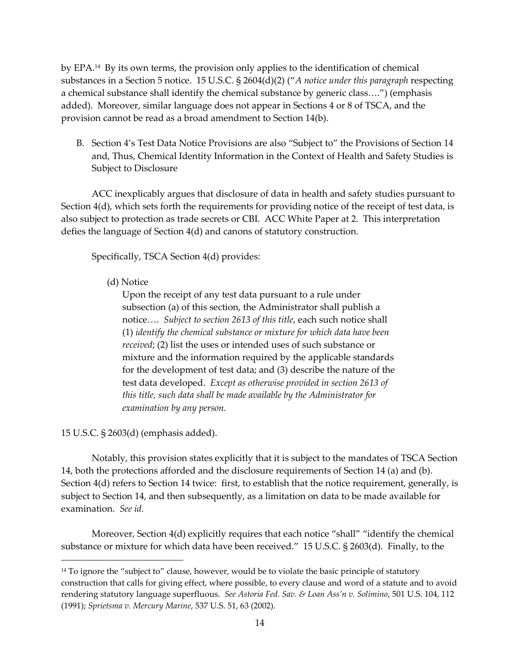by EPA. 14 By its own terms, the provision only applies to the identification of chemical substances in a Section 5 notice. 15 U.S.C. § 2604(d)(2) ('*A notice under this paragraph* respecting a chemical substance shall identify the chemical substance by generic class....") (emphasis added). Moreover, similar language does not appear in Sections 4 or 8 of TSCA, and the provision cannot be read as a broad amendment to Section 14(b).

B. Section 4's Test Data Notice Provisions are also 'Subject to' the Provisions of Section 14 and, Thus, Chemical Identity Information in the Context of Health and Safety Studies is Subject to Disclosure

ACC inexplicably argues that disclosure of data in health and safety studies pursuant to Section 4(d), which sets forth the requirements for providing notice of the receipt of test data, is also subject to protection as trade secrets or CBI. ACC White Paper at 2. This interpretation defies the language of Section 4(d) and canons of statutory construction.

Specifically, TSCA Section 4(d) provides:

## (d) Notice

Upon the receipt of any test data pursuant to a rule under subsection (a) of this section, the Administrator shall publish a notice.... Subject to section 2613 of this title, each such notice shall (1) *identify the chemical substance or mixture for which data have been received*; (2) list the uses or intended uses of such substance or mixture and the information required by the applicable standards for the development of test data; and (3) describe the nature of the test data developed. *Except as otherwise provided in section 2613 of this title, such data shall be made available by the Administrator for examination by any person.*

15 U.S.C. § 2603(d) (emphasis added).

1

Notably, this provision states explicitly that it is subject to the mandates of TSCA Section 14, both the protections afforded and the disclosure requirements of Section 14 (a) and (b). Section 4(d) refers to Section 14 twice: first, to establish that the notice requirement, generally, is subject to Section 14, and then subsequently, as a limitation on data to be made available for examination. *See id.* 

Moreover, Section 4(d) explicitly requires that each notice "shall" "identify the chemical substance or mixture for which data have been received.' 15 U.S.C. § 2603(d). Finally, to the

<sup>&</sup>lt;sup>14</sup> To ignore the "subject to" clause, however, would be to violate the basic principle of statutory construction that calls for giving effect, where possible, to every clause and word of a statute and to avoid rendering statutory language superfluous. *See Astoria Fed. Sav. & Loan Ass'n v. Solimino*, 501 U.S. 104, 112 (1991); *Sprietsma v. Mercury Marine*, 537 U.S. 51, 63 (2002).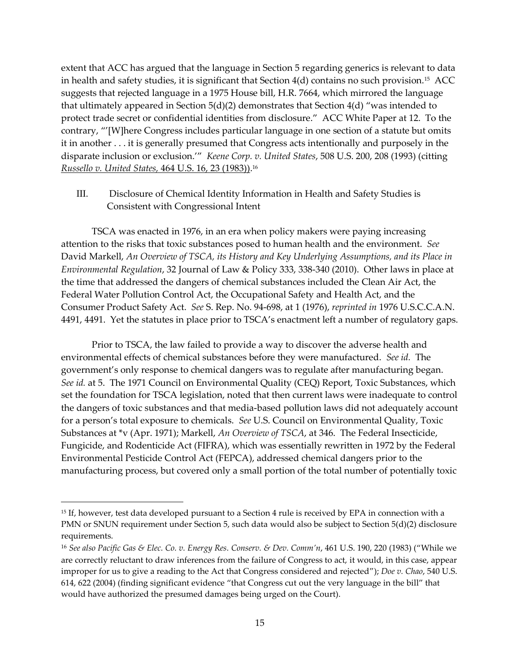extent that ACC has argued that the language in Section 5 regarding generics is relevant to data in health and safety studies, it is significant that Section 4(d) contains no such provision. $^{15}\,$  ACC  $^{\rm \, \, \, }$ suggests that rejected language in a 1975 House bill, H.R. 7664, which mirrored the language that ultimately appeared in Section  $5(d)(2)$  demonstrates that Section  $4(d)$  "was intended to protect trade secret or confidential identities from disclosure.' ACC White Paper at 12. To the contrary, ''[W]here Congress includes particular language in one section of a statute but omits it in another . . . it is generally presumed that Congress acts intentionally and purposely in the disparate inclusion or exclusion.'' *Keene Corp. v. United States*, 508 U.S. 200, 208 (1993) (citting *Russello v. United States,* 464 U.S. 16, 23 (1983)). 16

III. Disclosure of Chemical Identity Information in Health and Safety Studies is Consistent with Congressional Intent

TSCA was enacted in 1976, in an era when policy makers were paying increasing attention to the risks that toxic substances posed to human health and the environment. *See*  David Markell, *An Overview of TSCA, its History and Key Underlying Assumptions, and its Place in Environmental Regulation*, 32 Journal of Law & Policy 333, 338-340 (2010). Other laws in place at the time that addressed the dangers of chemical substances included the Clean Air Act, the Federal Water Pollution Control Act, the Occupational Safety and Health Act, and the Consumer Product Safety Act. *See* S. Rep. No. 94-698, at 1 (1976), *reprinted in* 1976 U.S.C.C.A.N. 4491, 4491. Yet the statutes in place prior to TSCA's enactment left a number of regulatory gaps.

Prior to TSCA, the law failed to provide a way to discover the adverse health and environmental effects of chemical substances before they were manufactured. *See id.* The government's only response to chemical dangers was to regulate after manufacturing began. *See id.* at 5. The 1971 Council on Environmental Quality (CEQ) Report, Toxic Substances, which set the foundation for TSCA legislation, noted that then current laws were inadequate to control the dangers of toxic substances and that media-based pollution laws did not adequately account for a person's total exposure to chemicals. *See* U.S. Council on Environmental Quality, Toxic Substances at \*v (Apr. 1971); Markell, *An Overview of TSCA*, at 346. The Federal Insecticide, Fungicide, and Rodenticide Act (FIFRA), which was essentially rewritten in 1972 by the Federal Environmental Pesticide Control Act (FEPCA), addressed chemical dangers prior to the manufacturing process, but covered only a small portion of the total number of potentially toxic

 $\overline{a}$ 

<sup>&</sup>lt;sup>15</sup> If, however, test data developed pursuant to a Section 4 rule is received by EPA in connection with a PMN or SNUN requirement under Section 5, such data would also be subject to Section 5(d)(2) disclosure requirements.

<sup>16</sup> *See also Pacific Gas & Elec. Co. v. Energy Res. Conserv. & Dev. Comm'n*, 461 U.S. 190, 220 (1983) ('While we are correctly reluctant to draw inferences from the failure of Congress to act, it would, in this case, appear improper for us to give a reading to the Act that Congress considered and rejected'); *Doe v. Chao*, 540 U.S. 614, 622 (2004) (finding significant evidence 'that Congress cut out the very language in the bill' that would have authorized the presumed damages being urged on the Court).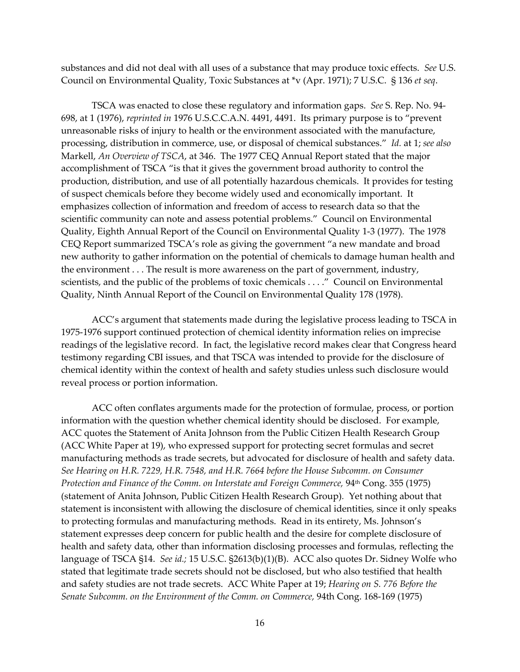substances and did not deal with all uses of a substance that may produce toxic effects. *See* U.S. Council on Environmental Quality, Toxic Substances at \*v (Apr. 1971); 7 U.S.C. § 136 *et seq*.

TSCA was enacted to close these regulatory and information gaps. *See* S. Rep. No. 94- 698, at 1 (1976), *reprinted in* 1976 U.S.C.C.A.N. 4491, 4491.Its primary purpose is to 'prevent unreasonable risks of injury to health or the environment associated with the manufacture, processing, distribution in commerce, use, or disposal of chemical substances.' *Id.* at 1; *see also*  Markell, *An Overview of TSCA*, at 346. The 1977 CEQ Annual Report stated that the major accomplishment of TSCA 'is that it gives the government broad authority to control the production, distribution, and use of all potentially hazardous chemicals. It provides for testing of suspect chemicals before they become widely used and economically important. It emphasizes collection of information and freedom of access to research data so that the scientific community can note and assess potential problems.' Council on Environmental Quality, Eighth Annual Report of the Council on Environmental Quality 1-3 (1977). The 1978 CEQ Report summarized TSCA's role as giving the government 'a new mandate and broad new authority to gather information on the potential of chemicals to damage human health and the environment . . . The result is more awareness on the part of government, industry, scientists, and the public of the problems of toxic chemicals . . . ." Council on Environmental Quality, Ninth Annual Report of the Council on Environmental Quality 178 (1978).

ACC's argument that statements made during the legislative process leading to TSCA in 1975-1976 support continued protection of chemical identity information relies on imprecise readings of the legislative record. In fact, the legislative record makes clear that Congress heard testimony regarding CBI issues, and that TSCA was intended to provide for the disclosure of chemical identity within the context of health and safety studies unless such disclosure would reveal process or portion information.

ACC often conflates arguments made for the protection of formulae, process, or portion information with the question whether chemical identity should be disclosed. For example, ACC quotes the Statement of Anita Johnson from the Public Citizen Health Research Group (ACC White Paper at 19), who expressed support for protecting secret formulas and secret manufacturing methods as trade secrets, but advocated for disclosure of health and safety data. *See Hearing on H.R. 7229, H.R. 7548, and H.R. 7664 before the House Subcomm. on Consumer Protection and Finance of the Comm. on Interstate and Foreign Commerce, 94<sup>th</sup> Cong. 355 (1975)* (statement of Anita Johnson, Public Citizen Health Research Group)*.* Yet nothing about that statement is inconsistent with allowing the disclosure of chemical identities, since it only speaks to protecting formulas and manufacturing methods. Read in its entirety, Ms. Johnson's statement expresses deep concern for public health and the desire for complete disclosure of health and safety data, other than information disclosing processes and formulas, reflecting the language of TSCA §14. *See id.;* 15 U.S.C. §2613(b)(1)(B). ACC also quotes Dr. Sidney Wolfe who stated that legitimate trade secrets should not be disclosed, but who also testified that health and safety studies are not trade secrets. ACC White Paper at 19; *Hearing on S. 776 Before the Senate Subcomm. on the Environment of the Comm. on Commerce,* 94th Cong. 168-169 (1975)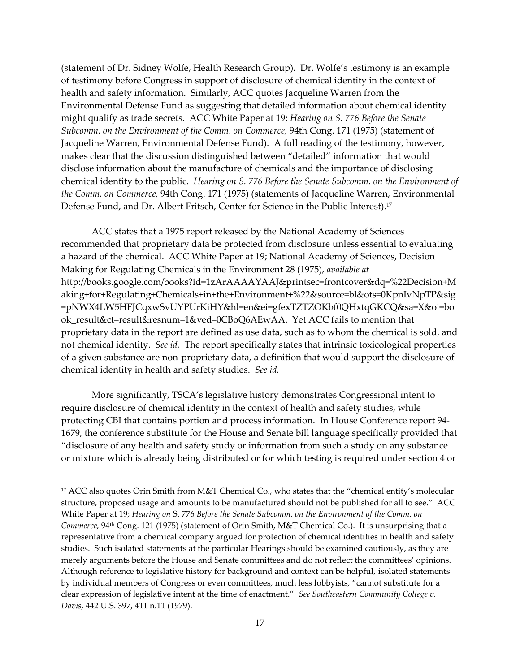(statement of Dr. Sidney Wolfe, Health Research Group). Dr. Wolfe's testimony is an example of testimony before Congress in support of disclosure of chemical identity in the context of health and safety information. Similarly, ACC quotes Jacqueline Warren from the Environmental Defense Fund as suggesting that detailed information about chemical identity might qualify as trade secrets. ACC White Paper at 19; *Hearing on S. 776 Before the Senate Subcomm. on the Environment of the Comm. on Commerce,* 94th Cong. 171 (1975) (statement of Jacqueline Warren, Environmental Defense Fund). A full reading of the testimony, however, makes clear that the discussion distinguished between 'detailed' information that would disclose information about the manufacture of chemicals and the importance of disclosing chemical identity to the public. *Hearing on S. 776 Before the Senate Subcomm. on the Environment of the Comm. on Commerce,* 94th Cong. 171 (1975) (statements of Jacqueline Warren, Environmental Defense Fund, and Dr. Albert Fritsch, Center for Science in the Public Interest). 17

ACC states that a 1975 report released by the National Academy of Sciences recommended that proprietary data be protected from disclosure unless essential to evaluating a hazard of the chemical. ACC White Paper at 19; National Academy of Sciences, Decision Making for Regulating Chemicals in the Environment 28 (1975), *available at*  [http://books.google.com/books?id=1zArAAAAYAAJ&printsec=frontcover&dq=%22Decision+M](http://books.google.com/books?id=1zArAAAAYAAJ&printsec=frontcover&dq=%22Decision+Making+for+Regul) [aking+for+Regula](http://books.google.com/books?id=1zArAAAAYAAJ&printsec=frontcover&dq=%22Decision+Making+for+Regul)ting+Chemicals+in+the+Environment+%22&source=bl&ots=0KpnIvNpTP&sig =pNWX4LW5HFJCqxwSvUYPUrKiHY&hl=en&ei=gfexTZTZOKbf0QHxtqGKCQ&sa=X&oi=bo ok\_result&ct=result&resnum=1&ved=0CBoQ6AEwAA. Yet ACC fails to mention that proprietary data in the report are defined as use data, such as to whom the chemical is sold, and not chemical identity. *See id.* The report specifically states that intrinsic toxicological properties of a given substance are non-proprietary data, a definition that would support the disclosure of chemical identity in health and safety studies. *See id.* 

More significantly, TSCA's legislative history demonstrates Congressional intent to require disclosure of chemical identity in the context of health and safety studies, while protecting CBI that contains portion and process information. In House Conference report 94- 1679, the conference substitute for the House and Senate bill language specifically provided that 'disclosure of any health and safety study or information from such a study on any substance or mixture which is already being distributed or for which testing is required under section 4 or

<sup>17</sup> ACC also quotes Orin Smith from M&T Chemical Co., who states that the 'chemical entity's molecular structure, proposed usage and amounts to be manufactured should not be published for all to see.' ACC White Paper at 19; *Hearing on* S. 776 *Before the Senate Subcomm. on the Environment of the Comm. on Commerce,* 94<sup>th</sup> Cong. 121 (1975) (statement of Orin Smith, M&T Chemical Co.). It is unsurprising that a representative from a chemical company argued for protection of chemical identities in health and safety studies. Such isolated statements at the particular Hearings should be examined cautiously, as they are merely arguments before the House and Senate committees and do not reflect the committees' opinions. Although reference to legislative history for background and context can be helpful, isolated statements by individual members of Congress or even committees, much less lobbyists, 'cannot substitute for a clear expression of legislative intent at the time of enactment.' *See Southeastern Community College v. Davis*, 442 U.S. 397, 411 n.11 (1979).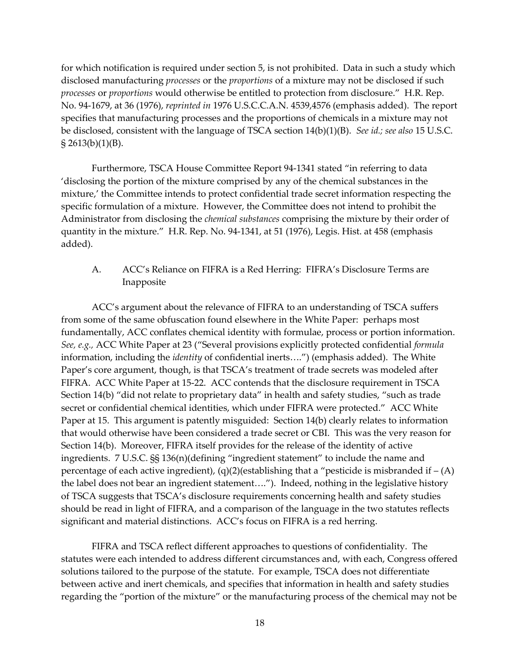for which notification is required under section 5, is not prohibited. Data in such a study which disclosed manufacturing *processes* or the *proportions* of a mixture may not be disclosed if such *processes* or *proportions* would otherwise be entitled to protection from disclosure.' H.R. Rep. No. 94-1679, at 36 (1976), *reprinted in* 1976 U.S.C.C.A.N. 4539,4576 (emphasis added). The report specifies that manufacturing processes and the proportions of chemicals in a mixture may not be disclosed, consistent with the language of TSCA section 14(b)(1)(B). *See id.; see also* 15 U.S.C.  $\{(5, 2613(b)(1)(B))\}$ .

Furthermore, TSCA House Committee Report 94-1341 stated 'in referring to data 'disclosing the portion of the mixture comprised by any of the chemical substances in the mixture,' the Committee intends to protect confidential trade secret information respecting the specific formulation of a mixture. However, the Committee does not intend to prohibit the Administrator from disclosing the *chemical substances* comprising the mixture by their order of quantity in the mixture.' H.R. Rep. No. 94-1341, at 51 (1976), Legis. Hist. at 458 (emphasis added).

A. ACC's Reliance on FIFRA is a Red Herring: FIFRA's Disclosure Terms are Inapposite

ACC's argument about the relevance of FIFRA to an understanding of TSCA suffers from some of the same obfuscation found elsewhere in the White Paper: perhaps most fundamentally, ACC conflates chemical identity with formulae, process or portion information. *See, e.g.,* ACC White Paper at 23 ('Several provisions explicitly protected confidential *formula*  information, including the *identity* of confidential inerts....") (emphasis added). The White Paper's core argument, though, is that TSCA's treatment of trade secrets was modeled after FIFRA. ACC White Paper at 15-22. ACC contends that the disclosure requirement in TSCA Section 14(b) "did not relate to proprietary data" in health and safety studies, "such as trade secret or confidential chemical identities, which under FIFRA were protected." ACC White Paper at 15. This argument is patently misguided: Section 14(b) clearly relates to information that would otherwise have been considered a trade secret or CBI. This was the very reason for Section 14(b). Moreover, FIFRA itself provides for the release of the identity of active ingredients. 7 U.S.C. §§ 136(n)(defining 'ingredient statement' to include the name and percentage of each active ingredient), (q)(2)(establishing that a "pesticide is misbranded if  $- (A)$ the label does not bear an ingredient statement...."). Indeed, nothing in the legislative history of TSCA suggests that TSCA's disclosure requirements concerning health and safety studies should be read in light of FIFRA, and a comparison of the language in the two statutes reflects significant and material distinctions. ACC's focus on FIFRA is a red herring.

FIFRA and TSCA reflect different approaches to questions of confidentiality. The statutes were each intended to address different circumstances and, with each, Congress offered solutions tailored to the purpose of the statute. For example, TSCA does not differentiate between active and inert chemicals, and specifies that information in health and safety studies regarding the 'portion of the mixture' or the manufacturing process of the chemical may not be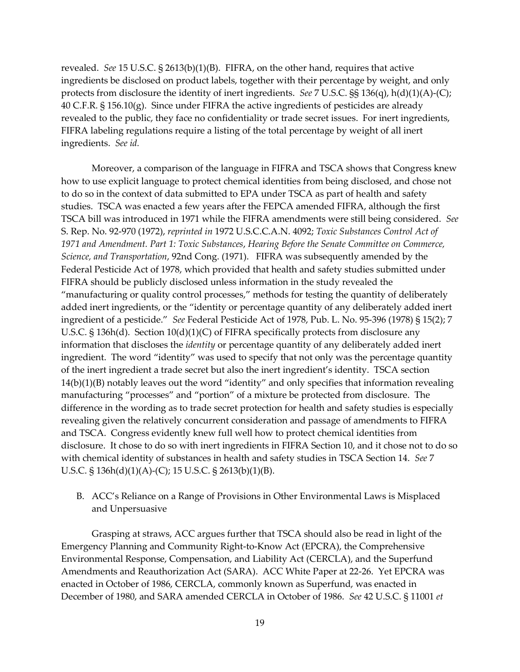revealed. *See* 15 U.S.C. § 2613(b)(1)(B). FIFRA, on the other hand, requires that active ingredients be disclosed on product labels, together with their percentage by weight, and only protects from disclosure the identity of inert ingredients. *See* 7 U.S.C. §§ 136(q), h(d)(1)(A)-(C); 40 C.F.R. § 156.10 $(g)$ . Since under FIFRA the active ingredients of pesticides are already revealed to the public, they face no confidentiality or trade secret issues. For inert ingredients, FIFRA labeling regulations require a listing of the total percentage by weight of all inert ingredients. *See id.*

Moreover, a comparison of the language in FIFRA and TSCA shows that Congress knew how to use explicit language to protect chemical identities from being disclosed, and chose not to do so in the context of data submitted to EPA under TSCA as part of health and safety studies. TSCA was enacted a few years after the FEPCA amended FIFRA, although the first TSCA bill was introduced in 1971 while the FIFRA amendments were still being considered. *See*  S. Rep. No. 92-970 (1972), *reprinted in* 1972 U.S.C.C.A.N. 4092; *Toxic Substances Control Act of 1971 and Amendment. Part 1: Toxic Substances*, *Hearing Before the Senate Committee on Commerce, Science, and Transportation*, 92nd Cong. (1971). FIFRA was subsequently amended by the Federal Pesticide Act of 1978, which provided that health and safety studies submitted under FIFRA should be publicly disclosed unless information in the study revealed the 'manufacturing or quality control processes,' methods for testing the quantity of deliberately added inert ingredients, or the 'identity or percentage quantity of any deliberately added inert ingredient of a pesticide.' *See* Federal Pesticide Act of 1978, Pub. L. No. 95-396 (1978) § 15(2); 7 U.S.C. § 136h(d). Section 10(d)(1)(C) of FIFRA specifically protects from disclosure any information that discloses the *identity* or percentage quantity of any deliberately added inert ingredient. The word 'identity' was used to specify that not only was the percentage quantity of the inert ingredient a trade secret but also the inert ingredient's identity. TSCA section 14(b)(1)(B) notably leaves out the word 'identity' and only specifies that information revealing manufacturing 'processes' and 'portion' of a mixture be protected from disclosure. The difference in the wording as to trade secret protection for health and safety studies is especially revealing given the relatively concurrent consideration and passage of amendments to FIFRA and TSCA. Congress evidently knew full well how to protect chemical identities from disclosure. It chose to do so with inert ingredients in FIFRA Section 10, and it chose not to do so with chemical identity of substances in health and safety studies in TSCA Section 14. *See* 7 U.S.C. § 136h(d)(1)(A)-(C); 15 U.S.C. § 2613(b)(1)(B).

B. ACC's Reliance on a Range of Provisions in Other Environmental Laws is Misplaced and Unpersuasive

Grasping at straws, ACC argues further that TSCA should also be read in light of the Emergency Planning and Community Right-to-Know Act (EPCRA), the Comprehensive Environmental Response, Compensation, and Liability Act (CERCLA), and the Superfund Amendments and Reauthorization Act (SARA). ACC White Paper at 22-26. Yet EPCRA was enacted in October of 1986, CERCLA, commonly known as Superfund, was enacted in December of 1980, and SARA amended CERCLA in October of 1986. *See* 42 U.S.C. § 11001 *et*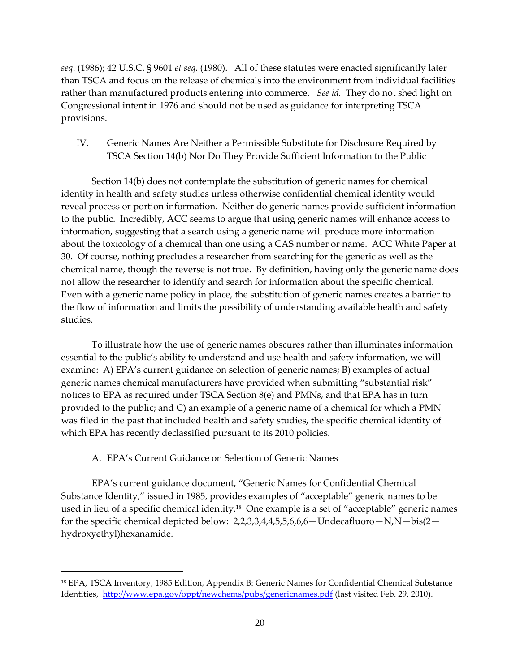*seq*. (1986); 42 U.S.C. § 9601 *et seq*. (1980). All of these statutes were enacted significantly later than TSCA and focus on the release of chemicals into the environment from individual facilities rather than manufactured products entering into commerce. *See id.* They do not shed light on Congressional intent in 1976 and should not be used as guidance for interpreting TSCA provisions.

IV. Generic Names Are Neither a Permissible Substitute for Disclosure Required by TSCA Section 14(b) Nor Do They Provide Sufficient Information to the Public

Section 14(b) does not contemplate the substitution of generic names for chemical identity in health and safety studies unless otherwise confidential chemical identity would reveal process or portion information. Neither do generic names provide sufficient information to the public. Incredibly, ACC seems to argue that using generic names will enhance access to information, suggesting that a search using a generic name will produce more information about the toxicology of a chemical than one using a CAS number or name. ACC White Paper at 30. Of course, nothing precludes a researcher from searching for the generic as well as the chemical name, though the reverse is not true. By definition, having only the generic name does not allow the researcher to identify and search for information about the specific chemical. Even with a generic name policy in place, the substitution of generic names creates a barrier to the flow of information and limits the possibility of understanding available health and safety studies.

To illustrate how the use of generic names obscures rather than illuminates information essential to the public's ability to understand and use health and safety information, we will examine: A) EPA's current guidance on selection of generic names; B) examples of actual generic names chemical manufacturers have provided when submitting 'substantial risk' notices to EPA as required under TSCA Section 8(e) and PMNs, and that EPA has in turn provided to the public; and C) an example of a generic name of a chemical for which a PMN was filed in the past that included health and safety studies, the specific chemical identity of which EPA has recently declassified pursuant to its 2010 policies.

## A. EPA's Current Guidance on Selection of Generic Names

1

EPA's current guidance document, 'Generic Names for Confidential Chemical Substance Identity," issued in 1985, provides examples of "acceptable" generic names to be used in lieu of a specific chemical identity.<sup>18</sup> One example is a set of 'acceptable' generic names for the specific chemical depicted below:  $2,2,3,3,4,4,5,5,6,6$  – Undecafluoro – N,N – bis(2 – hydroxyethyl)hexanamide.

<sup>18</sup> EPA, TSCA Inventory, 1985 Edition, Appendix B: Generic Names for Confidential Chemical Substance Identities, <http://www.epa.gov/oppt/newchems/pubs/genericnames.pdf> (last visited Feb. 29, 2010).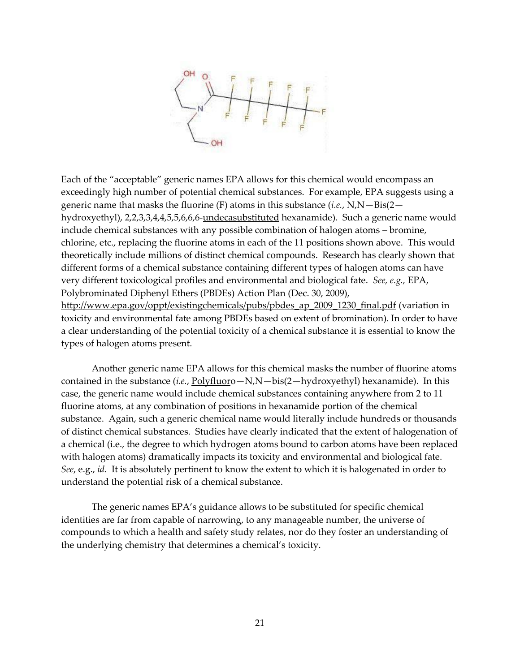

Each of the 'acceptable' generic names EPA allows for this chemical would encompass an exceedingly high number of potential chemical substances. For example, EPA suggests using a generic name that masks the fluorine (F) atoms in this substance (*i.e.*, N,N—Bis(2 hydroxyethyl), 2,2,3,3,4,4,5,5,6,6,6-undecasubstituted hexanamide). Such a generic name would include chemical substances with any possible combination of halogen atoms – bromine, chlorine, etc., replacing the fluorine atoms in each of the 11 positions shown above. This would theoretically include millions of distinct chemical compounds. Research has clearly shown that different forms of a chemical substance containing different types of halogen atoms can have very different toxicological profiles and environmental and biological fate. *See, e.g.,* EPA, Polybrominated Diphenyl Ethers (PBDEs) Action Plan (Dec. 30, 2009), [http://www.epa.gov/oppt/existingchemicals/pubs/pbdes\\_ap\\_2009\\_1230\\_final.pdf](http://www.epa.gov/oppt/existingchemicals/pubs/pbdes_ap_2009_1230_final.pdf) (variation in toxicity and environmental fate among PBDEs based on extent of bromination). In order to have a clear understanding of the potential toxicity of a chemical substance it is essential to know the types of halogen atoms present.

Another generic name EPA allows for this chemical masks the number of fluorine atoms contained in the substance (*i.e.*, Polyfluoro—N,N—bis(2—hydroxyethyl) hexanamide). In this case, the generic name would include chemical substances containing anywhere from 2 to 11 fluorine atoms, at any combination of positions in hexanamide portion of the chemical substance. Again, such a generic chemical name would literally include hundreds or thousands of distinct chemical substances. Studies have clearly indicated that the extent of halogenation of a chemical (i.e., the degree to which hydrogen atoms bound to carbon atoms have been replaced with halogen atoms) dramatically impacts its toxicity and environmental and biological fate. *See*, e.g., *id.* It is absolutely pertinent to know the extent to which it is halogenated in order to understand the potential risk of a chemical substance.

The generic names EPA's guidance allows to be substituted for specific chemical identities are far from capable of narrowing, to any manageable number, the universe of compounds to which a health and safety study relates, nor do they foster an understanding of the underlying chemistry that determines a chemical's toxicity.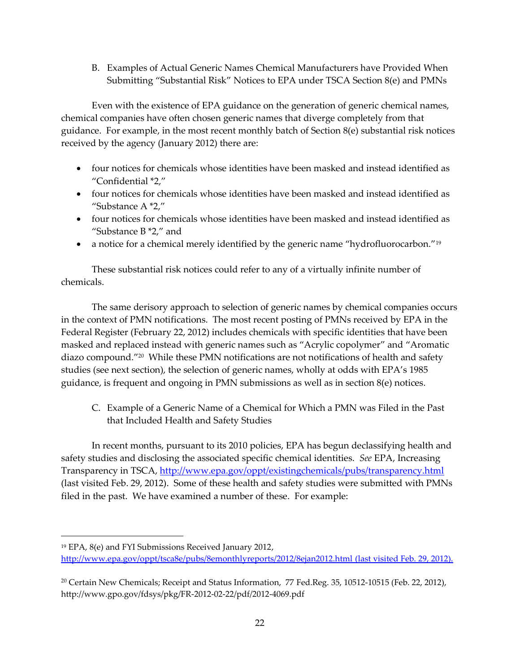B. Examples of Actual Generic Names Chemical Manufacturers have Provided When Submitting 'Substantial Risk' Notices to EPA under TSCA Section 8(e) and PMNs

Even with the existence of EPA guidance on the generation of generic chemical names, chemical companies have often chosen generic names that diverge completely from that guidance. For example, in the most recent monthly batch of Section 8(e) substantial risk notices received by the agency (January 2012) there are:

- four notices for chemicals whose identities have been masked and instead identified as 'Confidential \*2,'
- four notices for chemicals whose identities have been masked and instead identified as 'Substance A \*2,'
- four notices for chemicals whose identities have been masked and instead identified as "Substance  $B$   $*2$ ," and
- a notice for a chemical merely identified by the generic name "hydrofluorocarbon."<sup>19</sup>

These substantial risk notices could refer to any of a virtually infinite number of chemicals.

The same derisory approach to selection of generic names by chemical companies occurs in the context of PMN notifications. The most recent posting of PMNs received by EPA in the Federal Register (February 22, 2012) includes chemicals with specific identities that have been masked and replaced instead with generic names such as 'Acrylic copolymer' and 'Aromatic diazo compound.' 20 While these PMN notifications are not notifications of health and safety studies (see next section), the selection of generic names, wholly at odds with EPA's 1985 guidance, is frequent and ongoing in PMN submissions as well as in section 8(e) notices.

C. Example of a Generic Name of a Chemical for Which a PMN was Filed in the Past that Included Health and Safety Studies

In recent months, pursuant to its 2010 policies, EPA has begun declassifying health and safety studies and disclosing the associated specific chemical identities. *See* EPA, Increasing Transparency in TSCA,<http://www.epa.gov/oppt/existingchemicals/pubs/transparency.html> (last visited Feb. 29, 2012). Some of these health and safety studies were submitted with PMNs filed in the past. We have examined a number of these. For example:

 $\overline{a}$ 

<sup>19</sup> EPA, 8(e) and FYI Submissions Received January 2012,

<http://www.epa.gov/oppt/tsca8e/pubs/8emonthlyreports/2012/8ejan2012.html> (last visited Feb. 29, 2012).

<sup>&</sup>lt;sup>20</sup> Certain New Chemicals; Receipt and Status Information, 77 Fed.Reg. 35, 10512-10515 (Feb. 22, 2012), http://www.gpo.gov/fdsys/pkg/FR-2012-02-22/pdf/2012-4069.pdf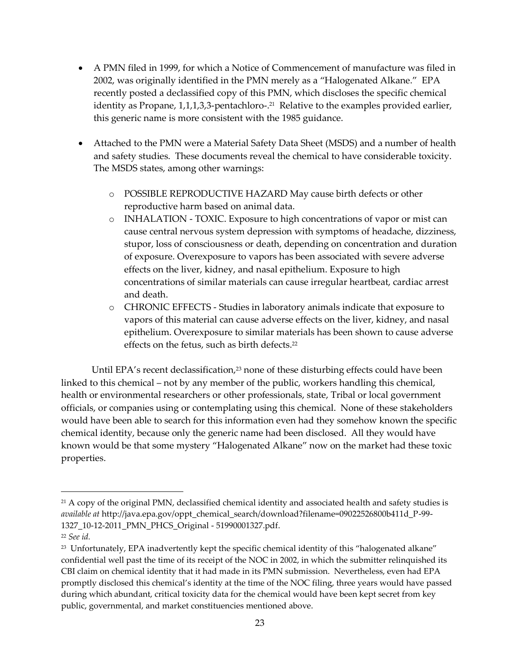- A PMN filed in 1999, for which a Notice of Commencement of manufacture was filed in 2002, was originally identified in the PMN merely as a 'Halogenated Alkane.' EPA recently posted a declassified copy of this PMN, which discloses the specific chemical identity as Propane, 1,1,1,3,3-pentachloro-. 21 Relative to the examples provided earlier, this generic name is more consistent with the 1985 guidance.
- Attached to the PMN were a Material Safety Data Sheet (MSDS) and a number of health and safety studies. These documents reveal the chemical to have considerable toxicity. The MSDS states, among other warnings:
	- o POSSIBLE REPRODUCTIVE HAZARD May cause birth defects or other reproductive harm based on animal data.
	- o INHALATION TOXIC. Exposure to high concentrations of vapor or mist can cause central nervous system depression with symptoms of headache, dizziness, stupor, loss of consciousness or death, depending on concentration and duration of exposure. Overexposure to vapors has been associated with severe adverse effects on the liver, kidney, and nasal epithelium. Exposure to high concentrations of similar materials can cause irregular heartbeat, cardiac arrest and death.
	- o CHRONIC EFFECTS Studies in laboratory animals indicate that exposure to vapors of this material can cause adverse effects on the liver, kidney, and nasal epithelium. Overexposure to similar materials has been shown to cause adverse effects on the fetus, such as birth defects.<sup>22</sup>

Until EPA's recent declassification, $2<sup>3</sup>$  none of these disturbing effects could have been linked to this chemical – not by any member of the public, workers handling this chemical, health or environmental researchers or other professionals, state, Tribal or local government officials, or companies using or contemplating using this chemical. None of these stakeholders would have been able to search for this information even had they somehow known the specific chemical identity, because only the generic name had been disclosed. All they would have known would be that some mystery 'Halogenated Alkane' now on the market had these toxic properties.

<sup>&</sup>lt;sup>21</sup> A copy of the original PMN, declassified chemical identity and associated health and safety studies is *available at* http://java.epa.gov/oppt\_chemical\_search/download?filename=09022526800b411d\_P-99- 1327\_10-12-2011\_PMN\_PHCS\_Original - 51990001327.pdf.

<sup>22</sup> *See id.*

<sup>23</sup> Unfortunately, EPA inadvertently kept the specific chemical identity of this 'halogenated alkane' confidential well past the time of its receipt of the NOC in 2002, in which the submitter relinquished its CBI claim on chemical identity that it had made in its PMN submission. Nevertheless, even had EPA promptly disclosed this chemical's identity at the time of the NOC filing, three years would have passed during which abundant, critical toxicity data for the chemical would have been kept secret from key public, governmental, and market constituencies mentioned above.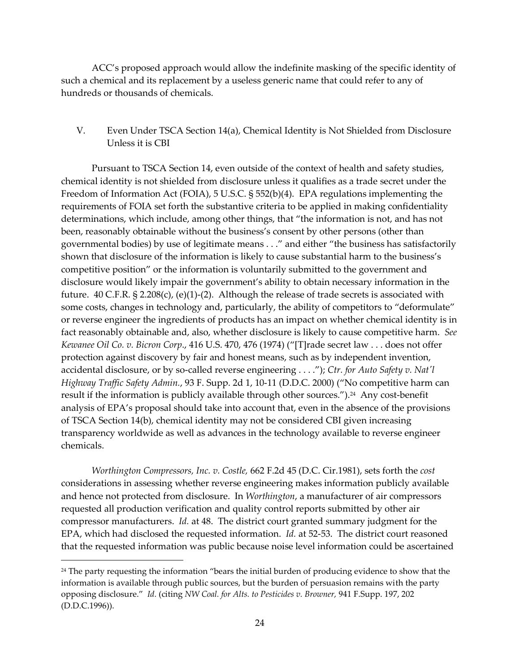ACC's proposed approach would allow the indefinite masking of the specific identity of such a chemical and its replacement by a useless generic name that could refer to any of hundreds or thousands of chemicals.

V. Even Under TSCA Section 14(a), Chemical Identity is Not Shielded from Disclosure Unless it is CBI

Pursuant to TSCA Section 14, even outside of the context of health and safety studies, chemical identity is not shielded from disclosure unless it qualifies as a trade secret under the Freedom of Information Act (FOIA), 5 U.S.C. § 552(b)(4). EPA regulations implementing the requirements of FOIA set forth the substantive criteria to be applied in making confidentiality determinations, which include, among other things, that 'the information is not, and has not been, reasonably obtainable without the business's consent by other persons (other than governmental bodies) by use of legitimate means . . .' and either 'the business has satisfactorily shown that disclosure of the information is likely to cause substantial harm to the business's competitive position' or the information is voluntarily submitted to the government and disclosure would likely impair the government's ability to obtain necessary information in the future.  $40 \text{ C.F.R. }$  § 2.208(c), (e)(1)-(2). Although the release of trade secrets is associated with some costs, changes in technology and, particularly, the ability of competitors to "deformulate" or reverse engineer the ingredients of products has an impact on whether chemical identity is in fact reasonably obtainable and, also, whether disclosure is likely to cause competitive harm. *See Kewanee Oil Co. v. Bicron Corp.,* 416 U.S. 470, 476 (1974) ("[T]rade secret law . . . does not offer protection against discovery by fair and honest means, such as by independent invention, accidental disclosure, or by so-called reverse engineering . . . .'); *Ctr. for Auto Safety v. Nat'l Highway Traffic Safety Admin.*, 93 F. Supp. 2d 1, 10-11 (D.D.C. 2000) ('No competitive harm can result if the information is publicly available through other sources.').<sup>24</sup> Any cost-benefit analysis of EPA's proposal should take into account that, even in the absence of the provisions of TSCA Section 14(b), chemical identity may not be considered CBI given increasing transparency worldwide as well as advances in the technology available to reverse engineer chemicals.

*Worthington Compressors, Inc. v. Costle,* 662 F.2d 45 (D.C. Cir.1981), sets forth the *cost* considerations in assessing whether reverse engineering makes information publicly available and hence not protected from disclosure. In *Worthington*, a manufacturer of air compressors requested all production verification and quality control reports submitted by other air compressor manufacturers. *Id.* at 48. The district court granted summary judgment for the EPA, which had disclosed the requested information. *Id.* at 52-53. The district court reasoned that the requested information was public because noise level information could be ascertained

<sup>&</sup>lt;sup>24</sup> The party requesting the information "bears the initial burden of producing evidence to show that the information is available through public sources, but the burden of persuasion remains with the party opposing disclosure.' *Id.* (citing *NW Coal. for Alts. to Pesticides v. Browner,* 941 F.Supp. 197, 202 (D.D.C.1996)).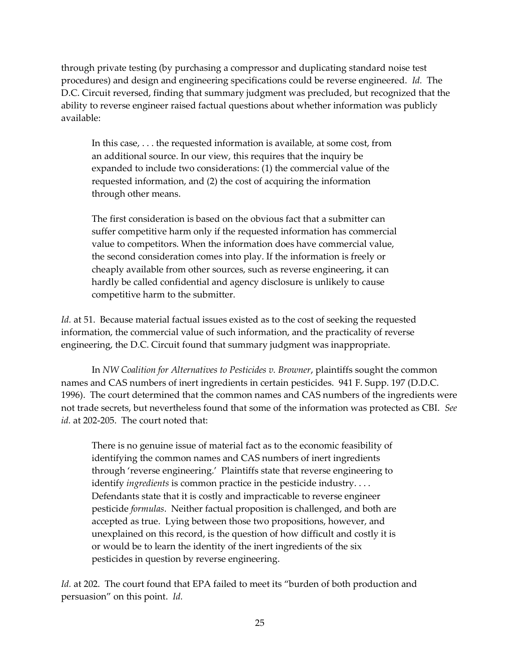through private testing (by purchasing a compressor and duplicating standard noise test procedures) and design and engineering specifications could be reverse engineered. *Id.* The D.C. Circuit reversed, finding that summary judgment was precluded, but recognized that the ability to reverse engineer raised factual questions about whether information was publicly available:

In this case, . . . the requested information is available, at some cost, from an additional source. In our view, this requires that the inquiry be expanded to include two considerations: (1) the commercial value of the requested information, and (2) the cost of acquiring the information through other means.

The first consideration is based on the obvious fact that a submitter can suffer competitive harm only if the requested information has commercial value to competitors. When the information does have commercial value, the second consideration comes into play. If the information is freely or cheaply available from other sources, such as reverse engineering, it can hardly be called confidential and agency disclosure is unlikely to cause competitive harm to the submitter.

*Id.* at 51. Because material factual issues existed as to the cost of seeking the requested information, the commercial value of such information, and the practicality of reverse engineering, the D.C. Circuit found that summary judgment was inappropriate.

In *NW Coalition for Alternatives to Pesticides v. Browner*, plaintiffs sought the common names and CAS numbers of inert ingredients in certain pesticides. 941 F. Supp. 197 (D.D.C. 1996). The court determined that the common names and CAS numbers of the ingredients were not trade secrets, but nevertheless found that some of the information was protected as CBI. *See*  id. at 202-205. The court noted that:

There is no genuine issue of material fact as to the economic feasibility of identifying the common names and CAS numbers of inert ingredients through 'reverse engineering.' Plaintiffs state that reverse engineering to identify *ingredients* is common practice in the pesticide industry. . . . Defendants state that it is costly and impracticable to reverse engineer pesticide *formulas*. Neither factual proposition is challenged, and both are accepted as true. Lying between those two propositions, however, and unexplained on this record, is the question of how difficult and costly it is or would be to learn the identity of the inert ingredients of the six pesticides in question by reverse engineering.

*Id.* at 202. The court found that EPA failed to meet its "burden of both production and persuasion' on this point. *Id.*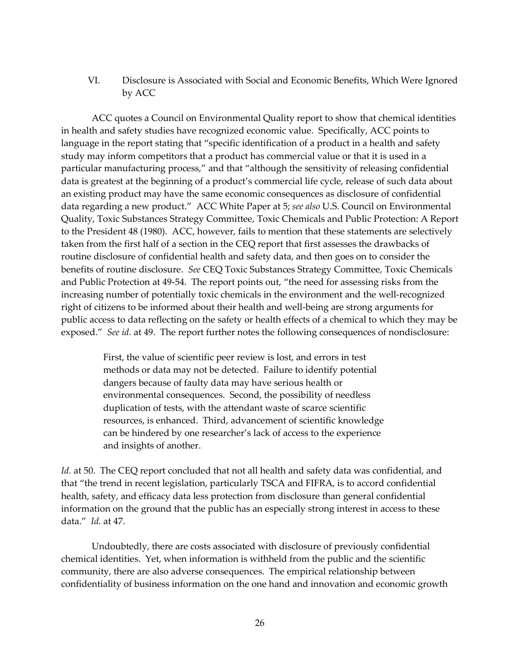VI. Disclosure is Associated with Social and Economic Benefits, Which Were Ignored by ACC

ACC quotes a Council on Environmental Quality report to show that chemical identities in health and safety studies have recognized economic value. Specifically, ACC points to language in the report stating that "specific identification of a product in a health and safety study may inform competitors that a product has commercial value or that it is used in a particular manufacturing process,' and that 'although the sensitivity of releasing confidential data is greatest at the beginning of a product's commercial life cycle, release of such data about an existing product may have the same economic consequences as disclosure of confidential data regarding a new product.' ACC White Paper at 5; *see also* U.S. Council on Environmental Quality, Toxic Substances Strategy Committee, Toxic Chemicals and Public Protection: A Report to the President 48 (1980). ACC, however, fails to mention that these statements are selectively taken from the first half of a section in the CEQ report that first assesses the drawbacks of routine disclosure of confidential health and safety data, and then goes on to consider the benefits of routine disclosure. *See* CEQ Toxic Substances Strategy Committee, Toxic Chemicals and Public Protection at 49-54. The report points out, 'the need for assessing risks from the increasing number of potentially toxic chemicals in the environment and the well-recognized right of citizens to be informed about their health and well-being are strong arguments for public access to data reflecting on the safety or health effects of a chemical to which they may be exposed." *See id.* at 49. The report further notes the following consequences of nondisclosure:

> First, the value of scientific peer review is lost, and errors in test methods or data may not be detected. Failure to identify potential dangers because of faulty data may have serious health or environmental consequences. Second, the possibility of needless duplication of tests, with the attendant waste of scarce scientific resources, is enhanced. Third, advancement of scientific knowledge can be hindered by one researcher's lack of access to the experience and insights of another.

*Id.* at 50. The CEQ report concluded that not all health and safety data was confidential, and that 'the trend in recent legislation, particularly TSCA and FIFRA, is to accord confidential health, safety, and efficacy data less protection from disclosure than general confidential information on the ground that the public has an especially strong interest in access to these data.' *Id.* at 47.

Undoubtedly, there are costs associated with disclosure of previously confidential chemical identities. Yet, when information is withheld from the public and the scientific community, there are also adverse consequences. The empirical relationship between confidentiality of business information on the one hand and innovation and economic growth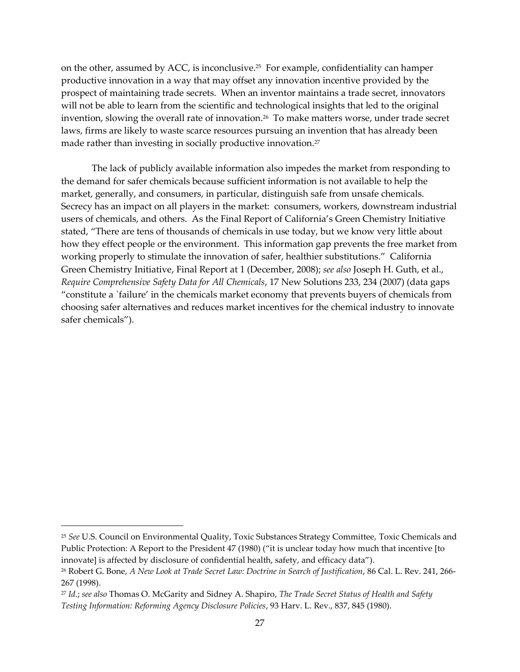on the other, assumed by ACC, is inconclusive.<sup>25</sup> For example, confidentiality can hamper productive innovation in a way that may offset any innovation incentive provided by the prospect of maintaining trade secrets. When an inventor maintains a trade secret, innovators will not be able to learn from the scientific and technological insights that led to the original invention, slowing the overall rate of innovation. 26 To make matters worse, under trade secret laws, firms are likely to waste scarce resources pursuing an invention that has already been made rather than investing in socially productive innovation.<sup>27</sup>

The lack of publicly available information also impedes the market from responding to the demand for safer chemicals because sufficient information is not available to help the market, generally, and consumers, in particular, distinguish safe from unsafe chemicals. Secrecy has an impact on all players in the market: consumers, workers, downstream industrial users of chemicals, and others. As the Final Report of California's Green Chemistry Initiative stated, 'There are tens of thousands of chemicals in use today, but we know very little about how they effect people or the environment. This information gap prevents the free market from working properly to stimulate the innovation of safer, healthier substitutions.' California Green Chemistry Initiative, Final Report at 1 (December, 2008); *see also* Joseph H. Guth, et al., *Require Comprehensive Safety Data for All Chemicals*, 17 New Solutions 233, 234 (2007) (data gaps 'constitute a `failure' in the chemicals market economy that prevents buyers of chemicals from choosing safer alternatives and reduces market incentives for the chemical industry to innovate safer chemicals').

<sup>25</sup> *See* U.S. Council on Environmental Quality, Toxic Substances Strategy Committee, Toxic Chemicals and Public Protection: A Report to the President 47 (1980) ("it is unclear today how much that incentive [to innovate] is affected by disclosure of confidential health, safety, and efficacy data').

<sup>26</sup> Robert G. Bone, *A New Look at Trade Secret Law: Doctrine in Search of Justification*, 86 Cal. L. Rev. 241, 266- 267 (1998).

<sup>27</sup> *Id.*; *see also* Thomas O. McGarity and Sidney A. Shapiro, *The Trade Secret Status of Health and Safety Testing Information: Reforming Agency Disclosure Policies*, 93 Harv. L. Rev., 837, 845 (1980).